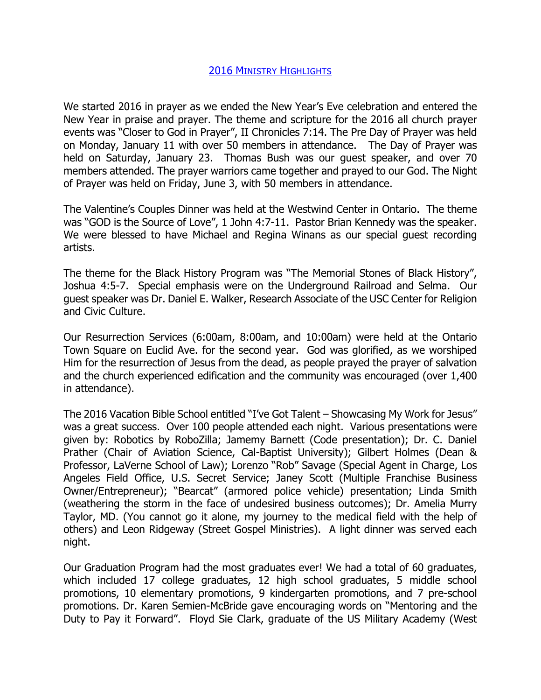## 2016 MINISTRY HIGHLIGHTS

We started 2016 in prayer as we ended the New Year's Eve celebration and entered the New Year in praise and prayer. The theme and scripture for the 2016 all church prayer events was "Closer to God in Prayer", II Chronicles 7:14. The Pre Day of Prayer was held on Monday, January 11 with over 50 members in attendance. The Day of Prayer was held on Saturday, January 23. Thomas Bush was our guest speaker, and over 70 members attended. The prayer warriors came together and prayed to our God. The Night of Prayer was held on Friday, June 3, with 50 members in attendance.

The Valentine's Couples Dinner was held at the Westwind Center in Ontario. The theme was "GOD is the Source of Love", 1 John 4:7-11. Pastor Brian Kennedy was the speaker. We were blessed to have Michael and Regina Winans as our special guest recording artists.

The theme for the Black History Program was "The Memorial Stones of Black History", Joshua 4:5-7. Special emphasis were on the Underground Railroad and Selma. Our guest speaker was Dr. Daniel E. Walker, Research Associate of the USC Center for Religion and Civic Culture.

Our Resurrection Services (6:00am, 8:00am, and 10:00am) were held at the Ontario Town Square on Euclid Ave. for the second year. God was glorified, as we worshiped Him for the resurrection of Jesus from the dead, as people prayed the prayer of salvation and the church experienced edification and the community was encouraged (over 1,400 in attendance).

The 2016 Vacation Bible School entitled "I've Got Talent – Showcasing My Work for Jesus" was a great success. Over 100 people attended each night. Various presentations were given by: Robotics by RoboZilla; Jamemy Barnett (Code presentation); Dr. C. Daniel Prather (Chair of Aviation Science, Cal-Baptist University); Gilbert Holmes (Dean & Professor, LaVerne School of Law); Lorenzo "Rob" Savage (Special Agent in Charge, Los Angeles Field Office, U.S. Secret Service; Janey Scott (Multiple Franchise Business Owner/Entrepreneur); "Bearcat" (armored police vehicle) presentation; Linda Smith (weathering the storm in the face of undesired business outcomes); Dr. Amelia Murry Taylor, MD. (You cannot go it alone, my journey to the medical field with the help of others) and Leon Ridgeway (Street Gospel Ministries). A light dinner was served each night.

Our Graduation Program had the most graduates ever! We had a total of 60 graduates, which included 17 college graduates, 12 high school graduates, 5 middle school promotions, 10 elementary promotions, 9 kindergarten promotions, and 7 pre-school promotions. Dr. Karen Semien-McBride gave encouraging words on "Mentoring and the Duty to Pay it Forward". Floyd Sie Clark, graduate of the US Military Academy (West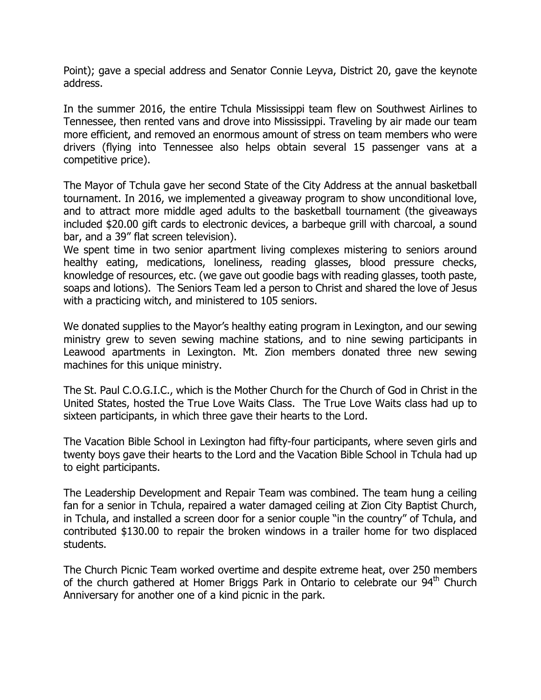Point); gave a special address and Senator Connie Leyva, District 20, gave the keynote address.

In the summer 2016, the entire Tchula Mississippi team flew on Southwest Airlines to Tennessee, then rented vans and drove into Mississippi. Traveling by air made our team more efficient, and removed an enormous amount of stress on team members who were drivers (flying into Tennessee also helps obtain several 15 passenger vans at a competitive price).

The Mayor of Tchula gave her second State of the City Address at the annual basketball tournament. In 2016, we implemented a giveaway program to show unconditional love, and to attract more middle aged adults to the basketball tournament (the giveaways included \$20.00 gift cards to electronic devices, a barbeque grill with charcoal, a sound bar, and a 39" flat screen television).

We spent time in two senior apartment living complexes mistering to seniors around healthy eating, medications, loneliness, reading glasses, blood pressure checks, knowledge of resources, etc. (we gave out goodie bags with reading glasses, tooth paste, soaps and lotions). The Seniors Team led a person to Christ and shared the love of Jesus with a practicing witch, and ministered to 105 seniors.

We donated supplies to the Mayor's healthy eating program in Lexington, and our sewing ministry grew to seven sewing machine stations, and to nine sewing participants in Leawood apartments in Lexington. Mt. Zion members donated three new sewing machines for this unique ministry.

The St. Paul C.O.G.I.C., which is the Mother Church for the Church of God in Christ in the United States, hosted the True Love Waits Class. The True Love Waits class had up to sixteen participants, in which three gave their hearts to the Lord.

The Vacation Bible School in Lexington had fifty-four participants, where seven girls and twenty boys gave their hearts to the Lord and the Vacation Bible School in Tchula had up to eight participants.

The Leadership Development and Repair Team was combined. The team hung a ceiling fan for a senior in Tchula, repaired a water damaged ceiling at Zion City Baptist Church, in Tchula, and installed a screen door for a senior couple "in the country" of Tchula, and contributed \$130.00 to repair the broken windows in a trailer home for two displaced students.

The Church Picnic Team worked overtime and despite extreme heat, over 250 members of the church gathered at Homer Briggs Park in Ontario to celebrate our 94<sup>th</sup> Church Anniversary for another one of a kind picnic in the park.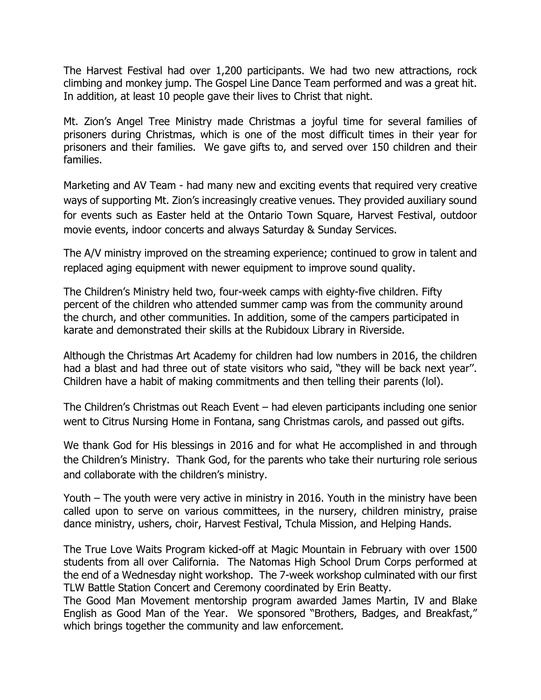The Harvest Festival had over 1,200 participants. We had two new attractions, rock climbing and monkey jump. The Gospel Line Dance Team performed and was a great hit. In addition, at least 10 people gave their lives to Christ that night.

Mt. Zion's Angel Tree Ministry made Christmas a joyful time for several families of prisoners during Christmas, which is one of the most difficult times in their year for prisoners and their families. We gave gifts to, and served over 150 children and their families.

Marketing and AV Team - had many new and exciting events that required very creative ways of supporting Mt. Zion's increasingly creative venues. They provided auxiliary sound for events such as Easter held at the Ontario Town Square, Harvest Festival, outdoor movie events, indoor concerts and always Saturday & Sunday Services.

The A/V ministry improved on the streaming experience; continued to grow in talent and replaced aging equipment with newer equipment to improve sound quality.

The Children's Ministry held two, four-week camps with eighty-five children. Fifty percent of the children who attended summer camp was from the community around the church, and other communities. In addition, some of the campers participated in karate and demonstrated their skills at the Rubidoux Library in Riverside.

Although the Christmas Art Academy for children had low numbers in 2016, the children had a blast and had three out of state visitors who said, "they will be back next year''. Children have a habit of making commitments and then telling their parents (lol).

The Children's Christmas out Reach Event – had eleven participants including one senior went to Citrus Nursing Home in Fontana, sang Christmas carols, and passed out gifts.

We thank God for His blessings in 2016 and for what He accomplished in and through the Children's Ministry. Thank God, for the parents who take their nurturing role serious and collaborate with the children's ministry.

Youth – The youth were very active in ministry in 2016. Youth in the ministry have been called upon to serve on various committees, in the nursery, children ministry, praise dance ministry, ushers, choir, Harvest Festival, Tchula Mission, and Helping Hands.

The True Love Waits Program kicked-off at Magic Mountain in February with over 1500 students from all over California. The Natomas High School Drum Corps performed at the end of a Wednesday night workshop. The 7-week workshop culminated with our first TLW Battle Station Concert and Ceremony coordinated by Erin Beatty.

The Good Man Movement mentorship program awarded James Martin, IV and Blake English as Good Man of the Year. We sponsored "Brothers, Badges, and Breakfast," which brings together the community and law enforcement.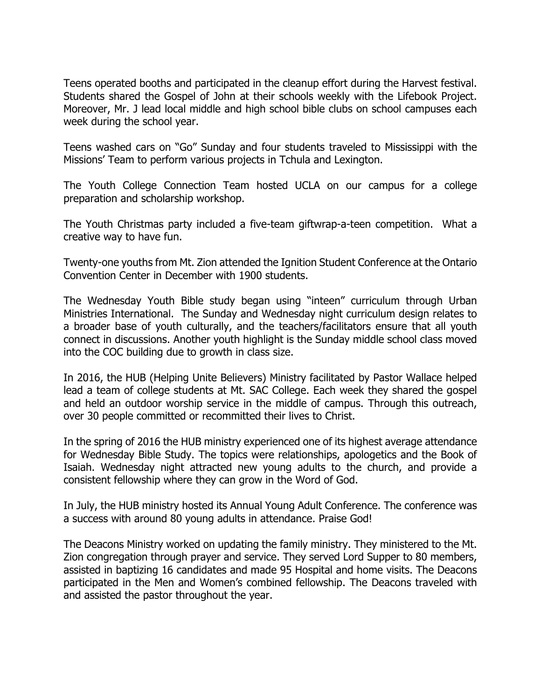Teens operated booths and participated in the cleanup effort during the Harvest festival. Students shared the Gospel of John at their schools weekly with the Lifebook Project. Moreover, Mr. J lead local middle and high school bible clubs on school campuses each week during the school year.

Teens washed cars on "Go" Sunday and four students traveled to Mississippi with the Missions' Team to perform various projects in Tchula and Lexington.

The Youth College Connection Team hosted UCLA on our campus for a college preparation and scholarship workshop.

The Youth Christmas party included a five-team giftwrap-a-teen competition. What a creative way to have fun.

Twenty-one youths from Mt. Zion attended the Ignition Student Conference at the Ontario Convention Center in December with 1900 students.

The Wednesday Youth Bible study began using "inteen" curriculum through Urban Ministries International. The Sunday and Wednesday night curriculum design relates to a broader base of youth culturally, and the teachers/facilitators ensure that all youth connect in discussions. Another youth highlight is the Sunday middle school class moved into the COC building due to growth in class size.

In 2016, the HUB (Helping Unite Believers) Ministry facilitated by Pastor Wallace helped lead a team of college students at Mt. SAC College. Each week they shared the gospel and held an outdoor worship service in the middle of campus. Through this outreach, over 30 people committed or recommitted their lives to Christ.

In the spring of 2016 the HUB ministry experienced one of its highest average attendance for Wednesday Bible Study. The topics were relationships, apologetics and the Book of Isaiah. Wednesday night attracted new young adults to the church, and provide a consistent fellowship where they can grow in the Word of God.

In July, the HUB ministry hosted its Annual Young Adult Conference. The conference was a success with around 80 young adults in attendance. Praise God!

The Deacons Ministry worked on updating the family ministry. They ministered to the Mt. Zion congregation through prayer and service. They served Lord Supper to 80 members, assisted in baptizing 16 candidates and made 95 Hospital and home visits. The Deacons participated in the Men and Women's combined fellowship. The Deacons traveled with and assisted the pastor throughout the year.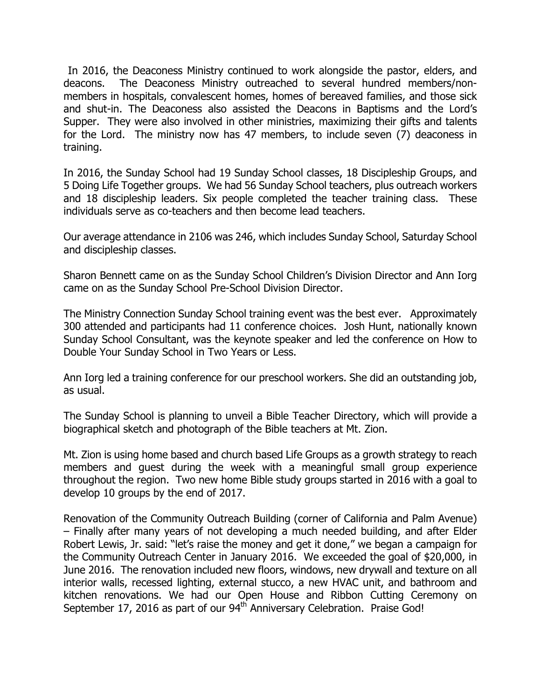In 2016, the Deaconess Ministry continued to work alongside the pastor, elders, and deacons. The Deaconess Ministry outreached to several hundred members/nonmembers in hospitals, convalescent homes, homes of bereaved families, and those sick and shut-in. The Deaconess also assisted the Deacons in Baptisms and the Lord's Supper. They were also involved in other ministries, maximizing their gifts and talents for the Lord. The ministry now has 47 members, to include seven (7) deaconess in training.

In 2016, the Sunday School had 19 Sunday School classes, 18 Discipleship Groups, and 5 Doing Life Together groups. We had 56 Sunday School teachers, plus outreach workers and 18 discipleship leaders. Six people completed the teacher training class. These individuals serve as co-teachers and then become lead teachers.

Our average attendance in 2106 was 246, which includes Sunday School, Saturday School and discipleship classes.

Sharon Bennett came on as the Sunday School Children's Division Director and Ann Iorg came on as the Sunday School Pre-School Division Director.

The Ministry Connection Sunday School training event was the best ever. Approximately 300 attended and participants had 11 conference choices. Josh Hunt, nationally known Sunday School Consultant, was the keynote speaker and led the conference on How to Double Your Sunday School in Two Years or Less.

Ann Iorg led a training conference for our preschool workers. She did an outstanding job, as usual.

The Sunday School is planning to unveil a Bible Teacher Directory, which will provide a biographical sketch and photograph of the Bible teachers at Mt. Zion.

Mt. Zion is using home based and church based Life Groups as a growth strategy to reach members and guest during the week with a meaningful small group experience throughout the region. Two new home Bible study groups started in 2016 with a goal to develop 10 groups by the end of 2017.

Renovation of the Community Outreach Building (corner of California and Palm Avenue) – Finally after many years of not developing a much needed building, and after Elder Robert Lewis, Jr. said: "let's raise the money and get it done," we began a campaign for the Community Outreach Center in January 2016. We exceeded the goal of \$20,000, in June 2016. The renovation included new floors, windows, new drywall and texture on all interior walls, recessed lighting, external stucco, a new HVAC unit, and bathroom and kitchen renovations. We had our Open House and Ribbon Cutting Ceremony on September 17, 2016 as part of our 94<sup>th</sup> Anniversary Celebration. Praise God!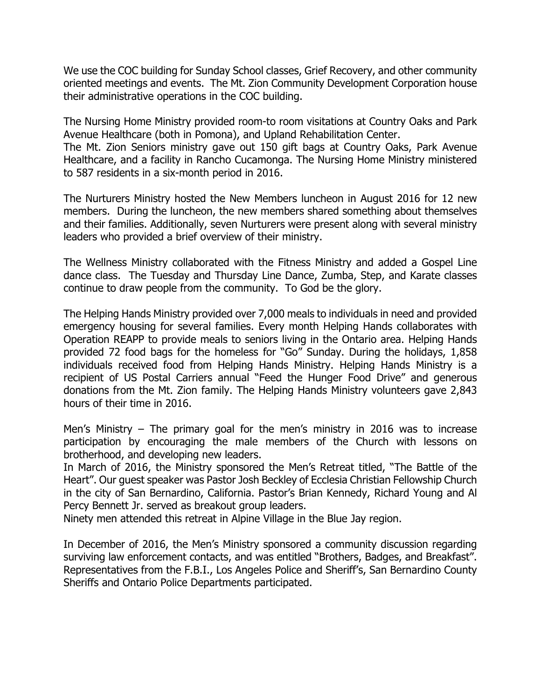We use the COC building for Sunday School classes, Grief Recovery, and other community oriented meetings and events. The Mt. Zion Community Development Corporation house their administrative operations in the COC building.

The Nursing Home Ministry provided room-to room visitations at Country Oaks and Park Avenue Healthcare (both in Pomona), and Upland Rehabilitation Center. The Mt. Zion Seniors ministry gave out 150 gift bags at Country Oaks, Park Avenue Healthcare, and a facility in Rancho Cucamonga. The Nursing Home Ministry ministered to 587 residents in a six-month period in 2016.

The Nurturers Ministry hosted the New Members luncheon in August 2016 for 12 new members. During the luncheon, the new members shared something about themselves and their families. Additionally, seven Nurturers were present along with several ministry leaders who provided a brief overview of their ministry.

The Wellness Ministry collaborated with the Fitness Ministry and added a Gospel Line dance class. The Tuesday and Thursday Line Dance, Zumba, Step, and Karate classes continue to draw people from the community. To God be the glory.

The Helping Hands Ministry provided over 7,000 meals to individuals in need and provided emergency housing for several families. Every month Helping Hands collaborates with Operation REAPP to provide meals to seniors living in the Ontario area. Helping Hands provided 72 food bags for the homeless for "Go" Sunday. During the holidays, 1,858 individuals received food from Helping Hands Ministry. Helping Hands Ministry is a recipient of US Postal Carriers annual "Feed the Hunger Food Drive" and generous donations from the Mt. Zion family. The Helping Hands Ministry volunteers gave 2,843 hours of their time in 2016.

Men's Ministry – The primary goal for the men's ministry in 2016 was to increase participation by encouraging the male members of the Church with lessons on brotherhood, and developing new leaders.

In March of 2016, the Ministry sponsored the Men's Retreat titled, "The Battle of the Heart". Our guest speaker was Pastor Josh Beckley of Ecclesia Christian Fellowship Church in the city of San Bernardino, California. Pastor's Brian Kennedy, Richard Young and Al Percy Bennett Jr. served as breakout group leaders.

Ninety men attended this retreat in Alpine Village in the Blue Jay region.

In December of 2016, the Men's Ministry sponsored a community discussion regarding surviving law enforcement contacts, and was entitled "Brothers, Badges, and Breakfast". Representatives from the F.B.I., Los Angeles Police and Sheriff's, San Bernardino County Sheriffs and Ontario Police Departments participated.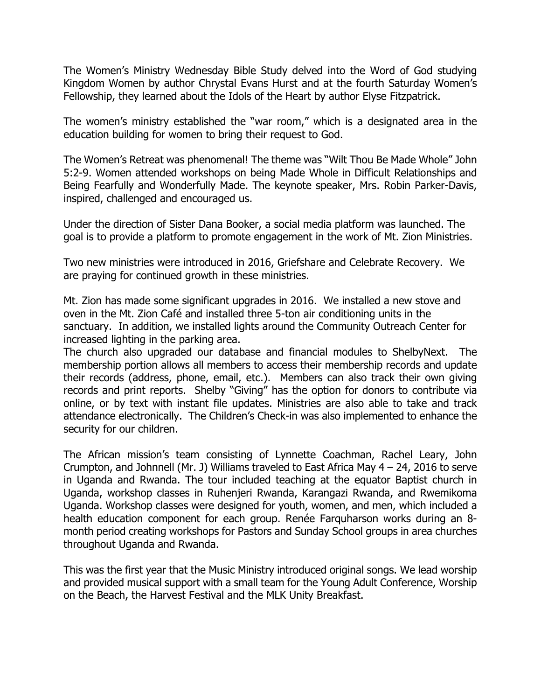The Women's Ministry Wednesday Bible Study delved into the Word of God studying Kingdom Women by author Chrystal Evans Hurst and at the fourth Saturday Women's Fellowship, they learned about the Idols of the Heart by author Elyse Fitzpatrick.

The women's ministry established the "war room," which is a designated area in the education building for women to bring their request to God.

The Women's Retreat was phenomenal! The theme was "Wilt Thou Be Made Whole" John 5:2-9. Women attended workshops on being Made Whole in Difficult Relationships and Being Fearfully and Wonderfully Made. The keynote speaker, Mrs. Robin Parker-Davis, inspired, challenged and encouraged us.

Under the direction of Sister Dana Booker, a social media platform was launched. The goal is to provide a platform to promote engagement in the work of Mt. Zion Ministries.

Two new ministries were introduced in 2016, Griefshare and Celebrate Recovery. We are praying for continued growth in these ministries.

Mt. Zion has made some significant upgrades in 2016. We installed a new stove and oven in the Mt. Zion Café and installed three 5-ton air conditioning units in the sanctuary. In addition, we installed lights around the Community Outreach Center for increased lighting in the parking area.

The church also upgraded our database and financial modules to ShelbyNext. The membership portion allows all members to access their membership records and update their records (address, phone, email, etc.). Members can also track their own giving records and print reports. Shelby "Giving" has the option for donors to contribute via online, or by text with instant file updates. Ministries are also able to take and track attendance electronically. The Children's Check-in was also implemented to enhance the security for our children.

The African mission's team consisting of Lynnette Coachman, Rachel Leary, John Crumpton, and Johnnell (Mr. J) Williams traveled to East Africa May 4 – 24, 2016 to serve in Uganda and Rwanda. The tour included teaching at the equator Baptist church in Uganda, workshop classes in Ruhenjeri Rwanda, Karangazi Rwanda, and Rwemikoma Uganda. Workshop classes were designed for youth, women, and men, which included a health education component for each group. Renée Farquharson works during an 8 month period creating workshops for Pastors and Sunday School groups in area churches throughout Uganda and Rwanda.

This was the first year that the Music Ministry introduced original songs. We lead worship and provided musical support with a small team for the Young Adult Conference, Worship on the Beach, the Harvest Festival and the MLK Unity Breakfast.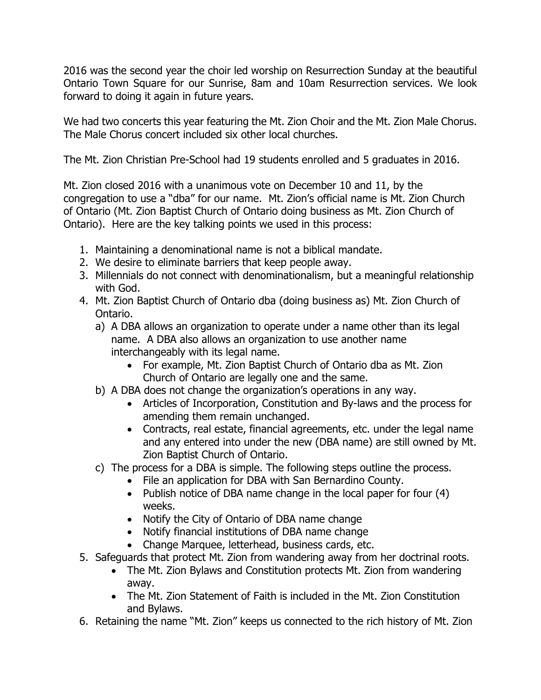2016 was the second year the choir led worship on Resurrection Sunday at the beautiful Ontario Town Square for our Sunrise, 8am and 10am Resurrection services. We look forward to doing it again in future years.

We had two concerts this year featuring the Mt. Zion Choir and the Mt. Zion Male Chorus. The Male Chorus concert included six other local churches.

The Mt. Zion Christian Pre-School had 19 students enrolled and 5 graduates in 2016.

Mt. Zion closed 2016 with a unanimous vote on December 10 and 11, by the congregation to use a "dba" for our name. Mt. Zion's official name is Mt. Zion Church of Ontario (Mt. Zion Baptist Church of Ontario doing business as Mt. Zion Church of Ontario). Here are the key talking points we used in this process:

- 1. Maintaining a denominational name is not a biblical mandate.
- 2. We desire to eliminate barriers that keep people away.
- 3. Millennials do not connect with denominationalism, but a meaningful relationship with God.
- 4. Mt. Zion Baptist Church of Ontario dba (doing business as) Mt. Zion Church of Ontario.
	- a) A DBA allows an organization to operate under a name other than its legal name. A DBA also allows an organization to use another name interchangeably with its legal name.
		- For example, Mt. Zion Baptist Church of Ontario dba as Mt. Zion Church of Ontario are legally one and the same.
	- b) A DBA does not change the organization's operations in any way.
		- Articles of Incorporation, Constitution and By-laws and the process for amending them remain unchanged.
		- Contracts, real estate, financial agreements, etc. under the legal name and any entered into under the new (DBA name) are still owned by Mt. Zion Baptist Church of Ontario.
	- c) The process for a DBA is simple. The following steps outline the process.
		- File an application for DBA with San Bernardino County.
		- Publish notice of DBA name change in the local paper for four (4) weeks.
		- Notify the City of Ontario of DBA name change
		- Notify financial institutions of DBA name change
		- Change Marquee, letterhead, business cards, etc.
- 5. Safeguards that protect Mt. Zion from wandering away from her doctrinal roots.
	- The Mt. Zion Bylaws and Constitution protects Mt. Zion from wandering away.
	- The Mt. Zion Statement of Faith is included in the Mt. Zion Constitution and Bylaws.
- 6. Retaining the name "Mt. Zion" keeps us connected to the rich history of Mt. Zion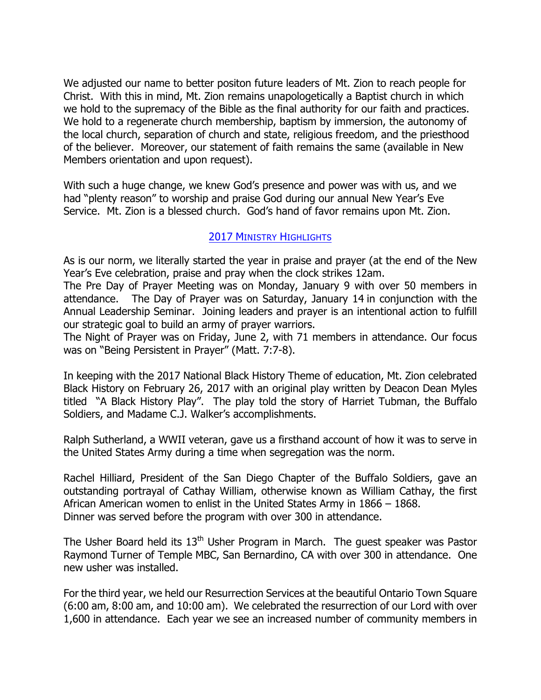We adjusted our name to better positon future leaders of Mt. Zion to reach people for Christ. With this in mind, Mt. Zion remains unapologetically a Baptist church in which we hold to the supremacy of the Bible as the final authority for our faith and practices. We hold to a regenerate church membership, baptism by immersion, the autonomy of the local church, separation of church and state, religious freedom, and the priesthood of the believer. Moreover, our statement of faith remains the same (available in New Members orientation and upon request).

With such a huge change, we knew God's presence and power was with us, and we had "plenty reason" to worship and praise God during our annual New Year's Eve Service. Mt. Zion is a blessed church. God's hand of favor remains upon Mt. Zion.

## 2017 MINISTRY HIGHLIGHTS

As is our norm, we literally started the year in praise and prayer (at the end of the New Year's Eve celebration, praise and pray when the clock strikes 12am.

The Pre Day of Prayer Meeting was on Monday, January 9 with over 50 members in attendance. The Day of Prayer was on Saturday, January 14 in conjunction with the Annual Leadership Seminar. Joining leaders and prayer is an intentional action to fulfill our strategic goal to build an army of prayer warriors.

The Night of Prayer was on Friday, June 2, with 71 members in attendance. Our focus was on "Being Persistent in Prayer" (Matt. 7:7-8).

In keeping with the 2017 National Black History Theme of education, Mt. Zion celebrated Black History on February 26, 2017 with an original play written by Deacon Dean Myles titled "A Black History Play". The play told the story of Harriet Tubman, the Buffalo Soldiers, and Madame C.J. Walker's accomplishments.

Ralph Sutherland, a WWII veteran, gave us a firsthand account of how it was to serve in the United States Army during a time when segregation was the norm.

Rachel Hilliard, President of the San Diego Chapter of the Buffalo Soldiers, gave an outstanding portrayal of Cathay William, otherwise known as William Cathay, the first African American women to enlist in the United States Army in 1866 – 1868. Dinner was served before the program with over 300 in attendance.

The Usher Board held its  $13<sup>th</sup>$  Usher Program in March. The quest speaker was Pastor Raymond Turner of Temple MBC, San Bernardino, CA with over 300 in attendance. One new usher was installed.

For the third year, we held our Resurrection Services at the beautiful Ontario Town Square (6:00 am, 8:00 am, and 10:00 am). We celebrated the resurrection of our Lord with over 1,600 in attendance. Each year we see an increased number of community members in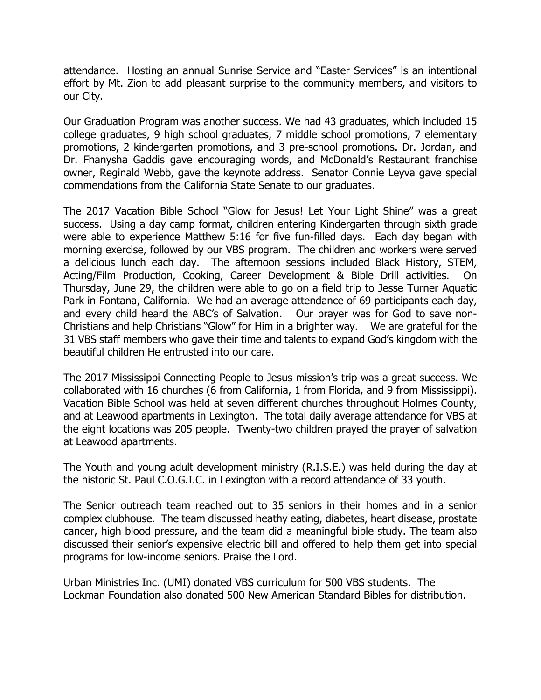attendance. Hosting an annual Sunrise Service and "Easter Services" is an intentional effort by Mt. Zion to add pleasant surprise to the community members, and visitors to our City.

Our Graduation Program was another success. We had 43 graduates, which included 15 college graduates, 9 high school graduates, 7 middle school promotions, 7 elementary promotions, 2 kindergarten promotions, and 3 pre-school promotions. Dr. Jordan, and Dr. Fhanysha Gaddis gave encouraging words, and McDonald's Restaurant franchise owner, Reginald Webb, gave the keynote address. Senator Connie Leyva gave special commendations from the California State Senate to our graduates.

The 2017 Vacation Bible School "Glow for Jesus! Let Your Light Shine" was a great success. Using a day camp format, children entering Kindergarten through sixth grade were able to experience Matthew 5:16 for five fun-filled days. Each day began with morning exercise, followed by our VBS program. The children and workers were served a delicious lunch each day. The afternoon sessions included Black History, STEM, Acting/Film Production, Cooking, Career Development & Bible Drill activities. On Thursday, June 29, the children were able to go on a field trip to Jesse Turner Aquatic Park in Fontana, California. We had an average attendance of 69 participants each day, and every child heard the ABC's of Salvation. Our prayer was for God to save non-Christians and help Christians "Glow" for Him in a brighter way. We are grateful for the 31 VBS staff members who gave their time and talents to expand God's kingdom with the beautiful children He entrusted into our care.

The 2017 Mississippi Connecting People to Jesus mission's trip was a great success. We collaborated with 16 churches (6 from California, 1 from Florida, and 9 from Mississippi). Vacation Bible School was held at seven different churches throughout Holmes County, and at Leawood apartments in Lexington. The total daily average attendance for VBS at the eight locations was 205 people. Twenty-two children prayed the prayer of salvation at Leawood apartments.

The Youth and young adult development ministry (R.I.S.E.) was held during the day at the historic St. Paul C.O.G.I.C. in Lexington with a record attendance of 33 youth.

The Senior outreach team reached out to 35 seniors in their homes and in a senior complex clubhouse. The team discussed heathy eating, diabetes, heart disease, prostate cancer, high blood pressure, and the team did a meaningful bible study. The team also discussed their senior's expensive electric bill and offered to help them get into special programs for low-income seniors. Praise the Lord.

Urban Ministries Inc. (UMI) donated VBS curriculum for 500 VBS students. The Lockman Foundation also donated 500 New American Standard Bibles for distribution.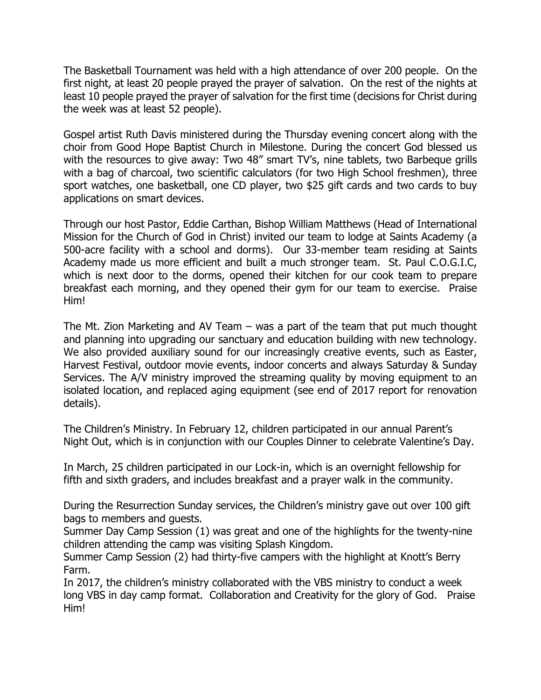The Basketball Tournament was held with a high attendance of over 200 people. On the first night, at least 20 people prayed the prayer of salvation. On the rest of the nights at least 10 people prayed the prayer of salvation for the first time (decisions for Christ during the week was at least 52 people).

Gospel artist Ruth Davis ministered during the Thursday evening concert along with the choir from Good Hope Baptist Church in Milestone. During the concert God blessed us with the resources to give away: Two 48" smart TV's, nine tablets, two Barbeque grills with a bag of charcoal, two scientific calculators (for two High School freshmen), three sport watches, one basketball, one CD player, two \$25 gift cards and two cards to buy applications on smart devices.

Through our host Pastor, Eddie Carthan, Bishop William Matthews (Head of International Mission for the Church of God in Christ) invited our team to lodge at Saints Academy (a 500-acre facility with a school and dorms). Our 33-member team residing at Saints Academy made us more efficient and built a much stronger team. St. Paul C.O.G.I.C, which is next door to the dorms, opened their kitchen for our cook team to prepare breakfast each morning, and they opened their gym for our team to exercise. Praise Him!

The Mt. Zion Marketing and AV Team – was a part of the team that put much thought and planning into upgrading our sanctuary and education building with new technology. We also provided auxiliary sound for our increasingly creative events, such as Easter, Harvest Festival, outdoor movie events, indoor concerts and always Saturday & Sunday Services. The A/V ministry improved the streaming quality by moving equipment to an isolated location, and replaced aging equipment (see end of 2017 report for renovation details).

The Children's Ministry. In February 12, children participated in our annual Parent's Night Out, which is in conjunction with our Couples Dinner to celebrate Valentine's Day.

In March, 25 children participated in our Lock-in, which is an overnight fellowship for fifth and sixth graders, and includes breakfast and a prayer walk in the community.

During the Resurrection Sunday services, the Children's ministry gave out over 100 gift bags to members and guests.

Summer Day Camp Session (1) was great and one of the highlights for the twenty-nine children attending the camp was visiting Splash Kingdom.

Summer Camp Session (2) had thirty-five campers with the highlight at Knott's Berry Farm.

In 2017, the children's ministry collaborated with the VBS ministry to conduct a week long VBS in day camp format. Collaboration and Creativity for the glory of God. Praise Him!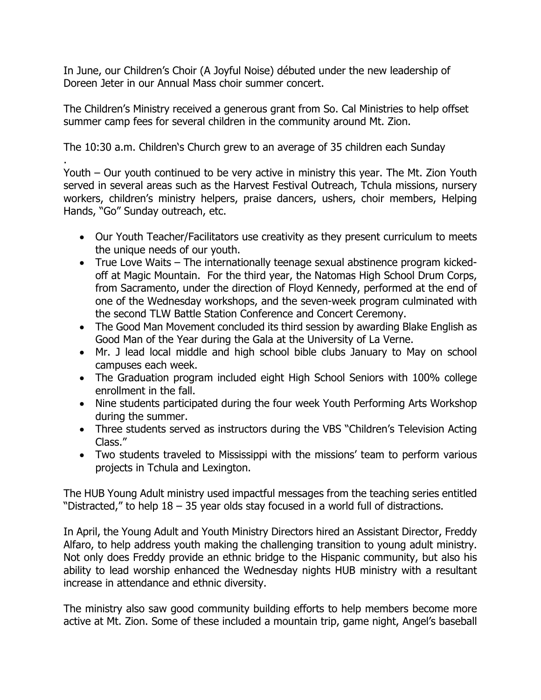In June, our Children's Choir (A Joyful Noise) débuted under the new leadership of Doreen Jeter in our Annual Mass choir summer concert.

The Children's Ministry received a generous grant from So. Cal Ministries to help offset summer camp fees for several children in the community around Mt. Zion.

The 10:30 a.m. Children's Church grew to an average of 35 children each Sunday

. Youth – Our youth continued to be very active in ministry this year. The Mt. Zion Youth served in several areas such as the Harvest Festival Outreach, Tchula missions, nursery workers, children's ministry helpers, praise dancers, ushers, choir members, Helping Hands, "Go" Sunday outreach, etc.

- Our Youth Teacher/Facilitators use creativity as they present curriculum to meets the unique needs of our youth.
- True Love Waits The internationally teenage sexual abstinence program kickedoff at Magic Mountain. For the third year, the Natomas High School Drum Corps, from Sacramento, under the direction of Floyd Kennedy, performed at the end of one of the Wednesday workshops, and the seven-week program culminated with the second TLW Battle Station Conference and Concert Ceremony.
- The Good Man Movement concluded its third session by awarding Blake English as Good Man of the Year during the Gala at the University of La Verne.
- Mr. J lead local middle and high school bible clubs January to May on school campuses each week.
- The Graduation program included eight High School Seniors with 100% college enrollment in the fall.
- Nine students participated during the four week Youth Performing Arts Workshop during the summer.
- Three students served as instructors during the VBS "Children's Television Acting Class."
- Two students traveled to Mississippi with the missions' team to perform various projects in Tchula and Lexington.

The HUB Young Adult ministry used impactful messages from the teaching series entitled "Distracted," to help  $18 - 35$  year olds stay focused in a world full of distractions.

In April, the Young Adult and Youth Ministry Directors hired an Assistant Director, Freddy Alfaro, to help address youth making the challenging transition to young adult ministry. Not only does Freddy provide an ethnic bridge to the Hispanic community, but also his ability to lead worship enhanced the Wednesday nights HUB ministry with a resultant increase in attendance and ethnic diversity.

The ministry also saw good community building efforts to help members become more active at Mt. Zion. Some of these included a mountain trip, game night, Angel's baseball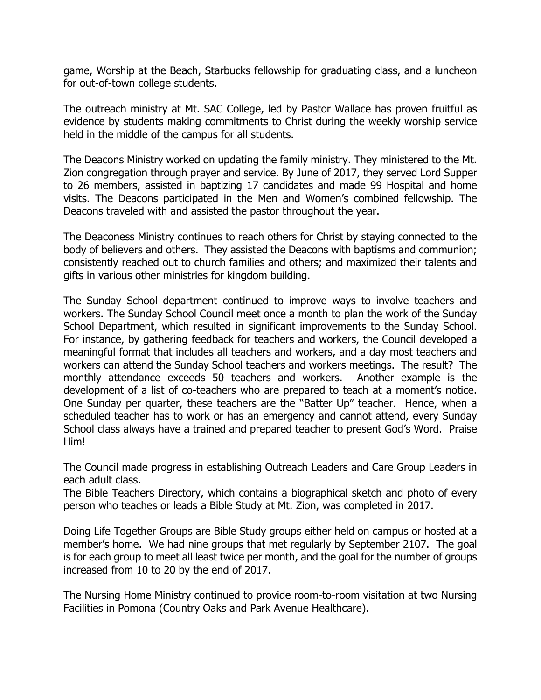game, Worship at the Beach, Starbucks fellowship for graduating class, and a luncheon for out-of-town college students.

The outreach ministry at Mt. SAC College, led by Pastor Wallace has proven fruitful as evidence by students making commitments to Christ during the weekly worship service held in the middle of the campus for all students.

The Deacons Ministry worked on updating the family ministry. They ministered to the Mt. Zion congregation through prayer and service. By June of 2017, they served Lord Supper to 26 members, assisted in baptizing 17 candidates and made 99 Hospital and home visits. The Deacons participated in the Men and Women's combined fellowship. The Deacons traveled with and assisted the pastor throughout the year.

The Deaconess Ministry continues to reach others for Christ by staying connected to the body of believers and others. They assisted the Deacons with baptisms and communion; consistently reached out to church families and others; and maximized their talents and gifts in various other ministries for kingdom building.

The Sunday School department continued to improve ways to involve teachers and workers. The Sunday School Council meet once a month to plan the work of the Sunday School Department, which resulted in significant improvements to the Sunday School. For instance, by gathering feedback for teachers and workers, the Council developed a meaningful format that includes all teachers and workers, and a day most teachers and workers can attend the Sunday School teachers and workers meetings. The result? The monthly attendance exceeds 50 teachers and workers. Another example is the development of a list of co-teachers who are prepared to teach at a moment's notice. One Sunday per quarter, these teachers are the "Batter Up" teacher. Hence, when a scheduled teacher has to work or has an emergency and cannot attend, every Sunday School class always have a trained and prepared teacher to present God's Word. Praise Him!

The Council made progress in establishing Outreach Leaders and Care Group Leaders in each adult class.

The Bible Teachers Directory, which contains a biographical sketch and photo of every person who teaches or leads a Bible Study at Mt. Zion, was completed in 2017.

Doing Life Together Groups are Bible Study groups either held on campus or hosted at a member's home. We had nine groups that met regularly by September 2107. The goal is for each group to meet all least twice per month, and the goal for the number of groups increased from 10 to 20 by the end of 2017.

The Nursing Home Ministry continued to provide room-to-room visitation at two Nursing Facilities in Pomona (Country Oaks and Park Avenue Healthcare).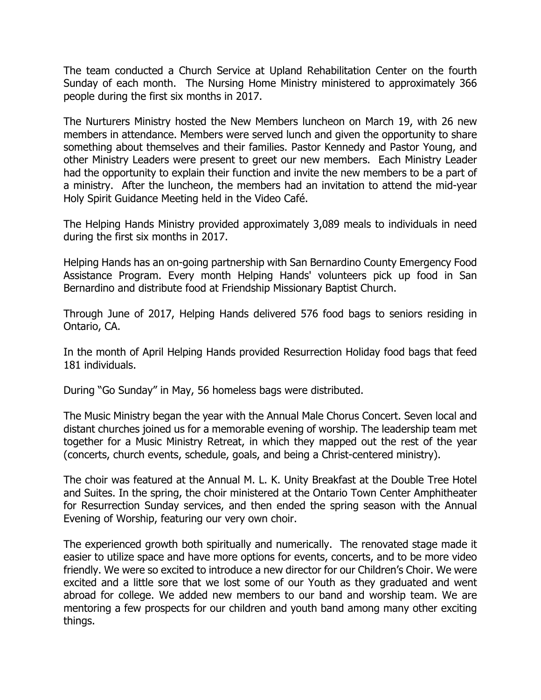The team conducted a Church Service at Upland Rehabilitation Center on the fourth Sunday of each month. The Nursing Home Ministry ministered to approximately 366 people during the first six months in 2017.

The Nurturers Ministry hosted the New Members luncheon on March 19, with 26 new members in attendance. Members were served lunch and given the opportunity to share something about themselves and their families. Pastor Kennedy and Pastor Young, and other Ministry Leaders were present to greet our new members. Each Ministry Leader had the opportunity to explain their function and invite the new members to be a part of a ministry. After the luncheon, the members had an invitation to attend the mid-year Holy Spirit Guidance Meeting held in the Video Café.

The Helping Hands Ministry provided approximately 3,089 meals to individuals in need during the first six months in 2017.

Helping Hands has an on-going partnership with San Bernardino County Emergency Food Assistance Program. Every month Helping Hands' volunteers pick up food in San Bernardino and distribute food at Friendship Missionary Baptist Church.

Through June of 2017, Helping Hands delivered 576 food bags to seniors residing in Ontario, CA.

In the month of April Helping Hands provided Resurrection Holiday food bags that feed 181 individuals.

During "Go Sunday" in May, 56 homeless bags were distributed.

The Music Ministry began the year with the Annual Male Chorus Concert. Seven local and distant churches joined us for a memorable evening of worship. The leadership team met together for a Music Ministry Retreat, in which they mapped out the rest of the year (concerts, church events, schedule, goals, and being a Christ-centered ministry).

The choir was featured at the Annual M. L. K. Unity Breakfast at the Double Tree Hotel and Suites. In the spring, the choir ministered at the Ontario Town Center Amphitheater for Resurrection Sunday services, and then ended the spring season with the Annual Evening of Worship, featuring our very own choir.

The experienced growth both spiritually and numerically. The renovated stage made it easier to utilize space and have more options for events, concerts, and to be more video friendly. We were so excited to introduce a new director for our Children's Choir. We were excited and a little sore that we lost some of our Youth as they graduated and went abroad for college. We added new members to our band and worship team. We are mentoring a few prospects for our children and youth band among many other exciting things.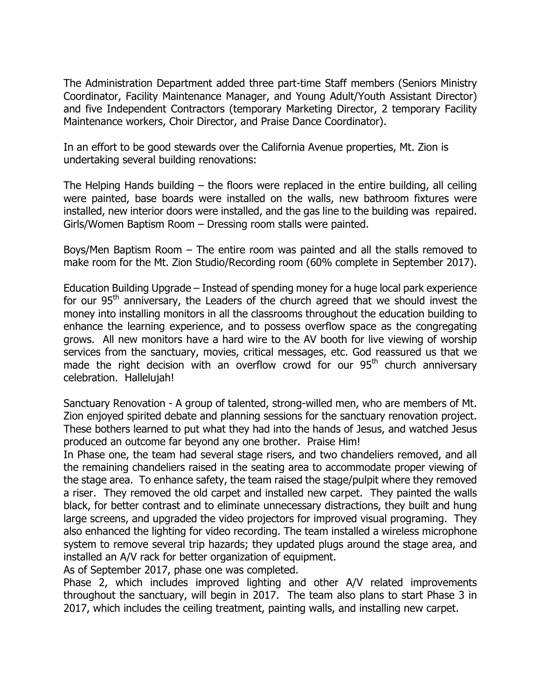The Administration Department added three part-time Staff members (Seniors Ministry Coordinator, Facility Maintenance Manager, and Young Adult/Youth Assistant Director) and five Independent Contractors (temporary Marketing Director, 2 temporary Facility Maintenance workers, Choir Director, and Praise Dance Coordinator).

In an effort to be good stewards over the California Avenue properties, Mt. Zion is undertaking several building renovations:

The Helping Hands building – the floors were replaced in the entire building, all ceiling were painted, base boards were installed on the walls, new bathroom fixtures were installed, new interior doors were installed, and the gas line to the building was repaired. Girls/Women Baptism Room – Dressing room stalls were painted.

Boys/Men Baptism Room – The entire room was painted and all the stalls removed to make room for the Mt. Zion Studio/Recording room (60% complete in September 2017).

Education Building Upgrade – Instead of spending money for a huge local park experience for our  $95<sup>th</sup>$  anniversary, the Leaders of the church agreed that we should invest the money into installing monitors in all the classrooms throughout the education building to enhance the learning experience, and to possess overflow space as the congregating grows. All new monitors have a hard wire to the AV booth for live viewing of worship services from the sanctuary, movies, critical messages, etc. God reassured us that we made the right decision with an overflow crowd for our  $95<sup>th</sup>$  church anniversary celebration. Hallelujah!

Sanctuary Renovation - A group of talented, strong-willed men, who are members of Mt. Zion enjoyed spirited debate and planning sessions for the sanctuary renovation project. These bothers learned to put what they had into the hands of Jesus, and watched Jesus produced an outcome far beyond any one brother. Praise Him!

In Phase one, the team had several stage risers, and two chandeliers removed, and all the remaining chandeliers raised in the seating area to accommodate proper viewing of the stage area. To enhance safety, the team raised the stage/pulpit where they removed a riser. They removed the old carpet and installed new carpet. They painted the walls black, for better contrast and to eliminate unnecessary distractions, they built and hung large screens, and upgraded the video projectors for improved visual programing. They also enhanced the lighting for video recording. The team installed a wireless microphone system to remove several trip hazards; they updated plugs around the stage area, and installed an A/V rack for better organization of equipment.

As of September 2017, phase one was completed.

Phase 2, which includes improved lighting and other A/V related improvements throughout the sanctuary, will begin in 2017. The team also plans to start Phase 3 in 2017, which includes the ceiling treatment, painting walls, and installing new carpet.